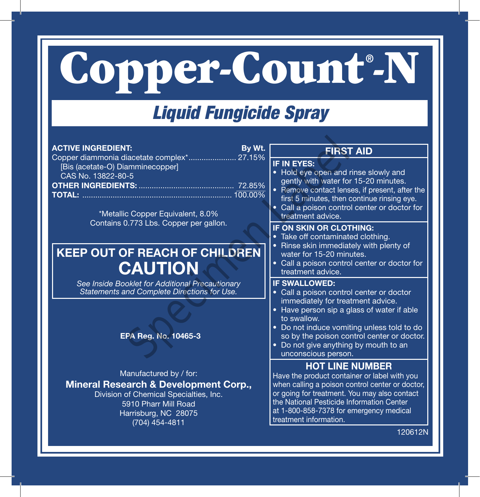# Copper-Count<sup>®</sup>-N

# *Liquid Fungicide Spray*

| <b>ACTIVE INGREDIENT:</b><br>By Wt.                                                                                                                                                    | <b>FIRST AID</b>                                                                                                                                                                                                                                                                                                               |
|----------------------------------------------------------------------------------------------------------------------------------------------------------------------------------------|--------------------------------------------------------------------------------------------------------------------------------------------------------------------------------------------------------------------------------------------------------------------------------------------------------------------------------|
| Copper diammonia diacetate complex* 27.15%<br>[Bis (acetate-O) Diamminecopper]<br>CAS No. 13822-80-5<br>$\frac{1}{100.00\%}$<br><b>TOTAL: </b><br>*Metallic Copper Equivalent, 8.0%    | <b>IF IN EYES:</b><br>• Hold eye open and rinse slowly and<br>gently with water for 15-20 minutes.<br>• Remove contact lenses, if present, after the<br>first 5 minutes, then continue rinsing eye.<br>• Call a poison control center or doctor for<br>treatment advice.                                                       |
| Contains 0.773 Lbs. Copper per gallon.<br><b>KEEP OUT OF REACH OF CHILDREN</b><br><b>CAUTION</b>                                                                                       | <b>IF ON SKIN OR CLOTHING:</b><br>• Take off contaminated clothing.<br>Rinse skin immediately with plenty of<br>water for 15-20 minutes.<br>• Call a poison control center or doctor for<br>treatment advice.                                                                                                                  |
| See Inside Booklet for Additional Precautionary<br>Statements and Complete Directions for Use.<br>EPA Reg. No. 10465-3                                                                 | <b>IF SWALLOWED:</b><br>• Call a poison control center or doctor<br>immediately for treatment advice.<br>• Have person sip a glass of water if able<br>to swallow.<br>• Do not induce vomiting unless told to do<br>so by the poison control center or doctor.<br>• Do not give anything by mouth to an<br>unconscious person. |
| Manufactured by / for:<br><b>Mineral Research &amp; Development Corp.,</b><br>Division of Chemical Specialties, Inc.<br>5910 Pharr Mill Road<br>Harrisburg, NC 28075<br>(704) 454-4811 | <b>HOT LINE NUMBER</b><br>Have the product container or label with you<br>when calling a poison control center or doctor,<br>or going for treatment. You may also contact<br>the National Pesticide Information Center<br>at 1-800-858-7378 for emergency medical<br>treatment information.                                    |
|                                                                                                                                                                                        | 120612N                                                                                                                                                                                                                                                                                                                        |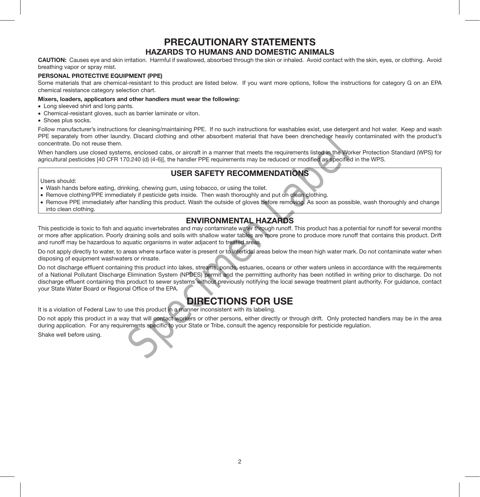## **PRECAUTIONARY STATEMENTS**

## **HAZARDS TO HUMANS AND DOMESTIC ANIMALS**

**CAUTION:** Causes eye and skin irritation. Harmful if swallowed, absorbed through the skin or inhaled. Avoid contact with the skin, eyes, or clothing. Avoid breathing vapor or spray mist.

#### **PERSONAL PROTECTIVE EQUIPMENT (PPE)**

Some materials that are chemical-resistant to this product are listed below. If you want more options, follow the instructions for category G on an EPA chemical resistance category selection chart.

#### **Mixers, loaders, applicators and other handlers must wear the following:**

- Long sleeved shirt and long pants.
- Chemical-resistant gloves, such as barrier laminate or viton.
- Shoes plus socks.

Follow manufacturer's instructions for cleaning/maintaining PPE. If no such instructions for washables exist, use detergent and hot water. Keep and wash PPE separately from other laundry. Discard clothing and other absorbent material that have been drenched or heavily contaminated with the product's concentrate. Do not reuse them.

When handlers use closed systems, enclosed cabs, or aircraft in a manner that meets the requirements listed in the Worker Protection Standard (WPS) for agricultural pesticides [40 CFR 170.240 (d) (4-6)], the handler PPE requirements may be reduced or modified as specified in the WPS.

## **USER SAFETY RECOMMENDATIONS**

Users should:

- Wash hands before eating, drinking, chewing gum, using tobacco, or using the toilet.
- Remove clothing/PPE immediately if pesticide gets inside. Then wash thoroughly and put on clean clothing.
- Remove PPE immediately after handling this product. Wash the outside of gloves before removing. As soon as possible, wash thoroughly and change into clean clothing.

## **ENVIRONMENTAL HAZARDS**

This pesticide is toxic to fish and aquatic invertebrates and may contaminate water through runoff. This product has a potential for runoff for several months or more after application. Poorly draining soils and soils with shallow water tables are more prone to produce more runoff that contains this product. Drift and runoff may be hazardous to aquatic organisms in water adjacent to treated areas.

Do not apply directly to water, to areas where surface water is present or to intertidal areas below the mean high water mark. Do not contaminate water when disposing of equipment washwaters or rinsate.

Do not discharge effluent containing this product into lakes, streams, ponds, estuaries, oceans or other waters unless in accordance with the requirements of a National Pollutant Discharge Elimination System (NPDES) permit and the permitting authority has been notified in writing prior to discharge. Do not discharge effluent containing this product to sewer systems without previously notifying the local sewage treatment plant authority. For guidance, contact your State Water Board or Regional Office of the EPA. ry. Discard clothing and other absorbent material that have been drenched or heavily.<br>
Specifies the requirements is the Wonder PPE requirements may be reduced or modified as specifies<br>
USER SAFETY RECOMMENDATIONS<br>
USER SA

## **DIRECTIONS FOR USE**

It is a violation of Federal Law to use this product in a manner inconsistent with its labeling.

Do not apply this product in a way that will contact workers or other persons, either directly or through drift. Only protected handlers may be in the area during application. For any requirements specific to your State or Tribe, consult the agency responsible for pesticide regulation.

Shake well before using.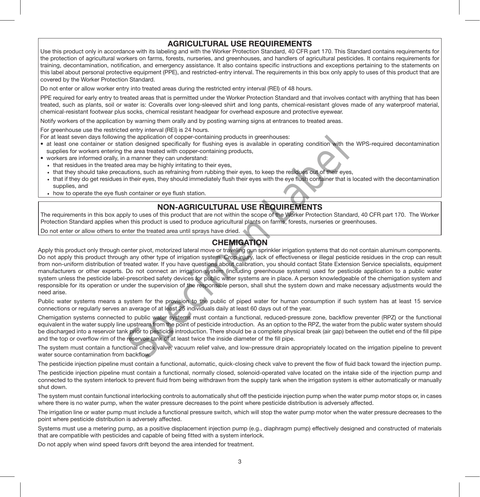## **AGRICULTURAL USE REQUIREMENTS**

Use this product only in accordance with its labeling and with the Worker Protection Standard, 40 CFR part 170. This Standard contains requirements for the protection of agricultural workers on farms, forests, nurseries, and greenhouses, and handlers of agricultural pesticides. It contains requirements for training, decontamination, notification, and emergency assistance. It also contains specific instructions and exceptions pertaining to the statements on this label about personal protective equipment (PPE), and restricted-entry interval. The requirements in this box only apply to uses of this product that are covered by the Worker Protection Standard.

Do not enter or allow worker entry into treated areas during the restricted entry interval (REI) of 48 hours.

PPE required for early entry to treated areas that is permitted under the Worker Protection Standard and that involves contact with anything that has been treated, such as plants, soil or water is: Coveralls over long-sleeved shirt and long pants, chemical-resistant gloves made of any waterproof material, chemical-resistant footwear plus socks, chemical resistant headgear for overhead exposure and protective eyewear.

Notify workers of the application by warning them orally and by posting warning signs at entrances to treated areas.

For greenhouse use the restricted entry interval (REI) is 24 hours.

For at least seven days following the application of copper-containing products in greenhouses:

- at least one container or station designed specifically for flushing eyes is available in operating condition with the WPS-required decontamination supplies for workers entering the area treated with copper-containing products,
- workers are informed orally, in a manner they can understand:
	- **•** that residues in the treated area may be highly irritating to their eyes,
	- that they should take precautions, such as refraining from rubbing their eyes, to keep the residues out of their eyes,
	- that if they do get residues in their eyes, they should immediately flush their eyes with the eye flush container that is located with the decontamination supplies, and
- how to operate the eye flush container or eye flush station.

## **NON-AGRICULTURAL USE REQUIREMENTS**

The requirements in this box apply to uses of this product that are not within the scope of the Worker Protection Standard, 40 CFR part 170. The Worker Protection Standard applies when this product is used to produce agricultural plants on farms, forests, nurseries or greenhouses.

Do not enter or allow others to enter the treated area until sprays have dried.

## **CHEMIGATION**

Apply this product only through center pivot, motorized lateral move or traveling gun sprinkler irrigation systems that do not contain aluminum components. Do not apply this product through any other type of irrigation system. Crop injury, lack of effectiveness or illegal pesticide residues in the crop can result from non-uniform distribution of treated water. If you have questions about calibration, you should contact State Extension Service specialists, equipment manufacturers or other experts. Do not connect an irrigation system (including greenhouse systems) used for pesticide application to a public water system unless the pesticide label-prescribed safety devices for public water systems are in place. A person knowledgeable of the chemigation system and responsible for its operation or under the supervision of the responsible person, shall shut the system down and make necessary adjustments would the need arise. the application of copper-containing products in greenhouses:<br>the application of copper-containing expects in greenhouses:<br>on designed specifically for flustning eyes is available in operating condition with the<br>he area tr

Public water systems means a system for the provision to the public of piped water for human consumption if such system has at least 15 service connections or regularly serves an average of at least 25 individuals daily at least 60 days out of the year.

Chemigation systems connected to public water systems must contain a functional, reduced-pressure zone, backflow preventer (RPZ) or the functional equivalent in the water supply line upstream from the point of pesticide introduction. As an option to the RPZ, the water from the public water system should be discharged into a reservoir tank prior to pesticide introduction. There should be a complete physical break (air gap) between the outlet end of the fill pipe and the top or overflow rim of the reservoir tank of at least twice the inside diameter of the fill pipe.

The system must contain a functional check valve, vacuum relief valve, and low-pressure drain appropriately located on the irrigation pipeline to prevent water source contamination from backflow.

The pesticide injection pipeline must contain a functional, automatic, quick-closing check valve to prevent the flow of fluid back toward the injection pump.

The pesticide injection pipeline must contain a functional, normally closed, solenoid-operated valve located on the intake side of the injection pump and connected to the system interlock to prevent fluid from being withdrawn from the supply tank when the irrigation system is either automatically or manually shut down.

The system must contain functional interlocking controls to automatically shut off the pesticide injection pump when the water pump motor stops or, in cases where there is no water pump, when the water pressure decreases to the point where pesticide distribution is adversely affected.

The irrigation line or water pump must include a functional pressure switch, which will stop the water pump motor when the water pressure decreases to the point where pesticide distribution is adversely affected.

Systems must use a metering pump, as a positive displacement injection pump (e.g., diaphragm pump) effectively designed and constructed of materials that are compatible with pesticides and capable of being fitted with a system interlock.

Do not apply when wind speed favors drift beyond the area intended for treatment.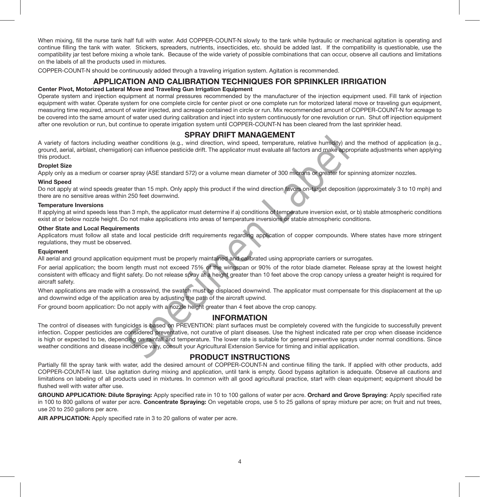When mixing, fill the nurse tank half full with water. Add COPPER-COUNT-N slowly to the tank while hydraulic or mechanical agitation is operating and continue filling the tank with water. Stickers, spreaders, nutrients, insecticides, etc. should be added last. If the compatibility is questionable, use the compatibility jar test before mixing a whole tank. Because of the wide variety of possible combinations that can occur, observe all cautions and limitations on the labels of all the products used in mixtures.

COPPER-COUNT-N should be continuously added through a traveling irrigation system. Agitation is recommended.

#### **APPLICATION AND CALIBRATION TECHNIQUES FOR SPRINKLER IRRIGATION**

#### **Center Pivot, Motorized Lateral Move and Traveling Gun Irrigation Equipment**

Operate system and injection equipment at normal pressures recommended by the manufacturer of the injection equipment used. Fill tank of injection equipment with water. Operate system for one complete circle for center pivot or one complete run for motorized lateral move or traveling gun equipment, measuring time required, amount of water injected, and acreage contained in circle or run. Mix recommended amount of COPPER-COUNT-N for acreage to be covered into the same amount of water used during calibration and inject into system continuously for one revolution or run. Shut off injection equipment after one revolution or run, but continue to operate irrigation system until COPPER-COUNT-N has been cleared from the last sprinkler head.

#### **SPRAY DRIFT MANAGEMENT**

A variety of factors including weather conditions (e.g., wind direction, wind speed, temperature, relative humidity) and the method of application (e.g., ground, aerial, airblast, chemigation) can influence pesticide drift. The applicator must evaluate all factors and make appropriate adjustments when applying this product.

#### **Droplet Size**

Apply only as a medium or coarser spray (ASE standard 572) or a volume mean diameter of 300 microns or greater for spinning atomizer nozzles.

#### **Wind Speed**

Do not apply at wind speeds greater than 15 mph. Only apply this product if the wind direction favors on-target deposition (approximately 3 to 10 mph) and there are no sensitive areas within 250 feet downwind.

#### **Temperature Inversions**

If applying at wind speeds less than 3 mph, the applicator must determine if a) conditions of temperature inversion exist, or b) stable atmospheric conditions exist at or below nozzle height. Do not make applications into areas of temperature inversions or stable atmospheric conditions.

#### **Other State and Local Requirements**

Applicators must follow all state and local pesticide drift requirements regarding application of copper compounds. Where states have more stringent regulations, they must be observed.

#### **Equipment**

All aerial and ground application equipment must be properly maintained and calibrated using appropriate carriers or surrogates.

For aerial application; the boom length must not exceed 75% of the wingspan or 90% of the rotor blade diameter. Release spray at the lowest height consistent with efficacy and flight safety. Do not release spray at a height greater than 10 feet above the crop canopy unless a greater height is required for aircraft safety.

When applications are made with a crosswind, the swatch must be displaced downwind. The applicator must compensate for this displacement at the up and downwind edge of the application area by adjusting the path of the aircraft upwind.

For ground boom application: Do not apply with a nozzle height greater than 4 feet above the crop canopy.

#### **INFORMATION**

The control of diseases with fungicides is based on PREVENTION: plant surfaces must be completely covered with the fungicide to successfully prevent infection. Copper pesticides are considered preventative, not curative of plant diseases. Use the highest indicated rate per crop when disease incidence is high or expected to be, depending on rainfall and temperature. The lower rate is suitable for general preventive sprays under normal conditions. Since weather conditions and disease incidence vary, consult your Agricultural Extension Service for timing and initial application. Specialized the solution of the same of the same of the same of the special and transmitted the special and transmitted and transmitted and transmitted and transmitted and transmitted and transmitted and transmitted and tr

#### **PRODUCT INSTRUCTIONS**

Partially fill the spray tank with water, add the desired amount of COPPER-COUNT-N and continue filling the tank. If applied with other products, add COPPER-COUNT-N last. Use agitation during mixing and application, until tank is empty. Good bypass agitation is adequate. Observe all cautions and limitations on labeling of all products used in mixtures. In common with all good agricultural practice, start with clean equipment; equipment should be flushed well with water after use.

**GROUND APPLICATION: Dilute Spraying:** Apply specified rate in 10 to 100 gallons of water per acre. **Orchard and Grove Spraying**: Apply specified rate in 100 to 800 gallons of water per acre. **Concentrate Spraying:** On vegetable crops, use 5 to 25 gallons of spray mixture per acre; on fruit and nut trees, use 20 to 250 gallons per acre.

**AIR APPLICATION:** Apply specified rate in 3 to 20 gallons of water per acre.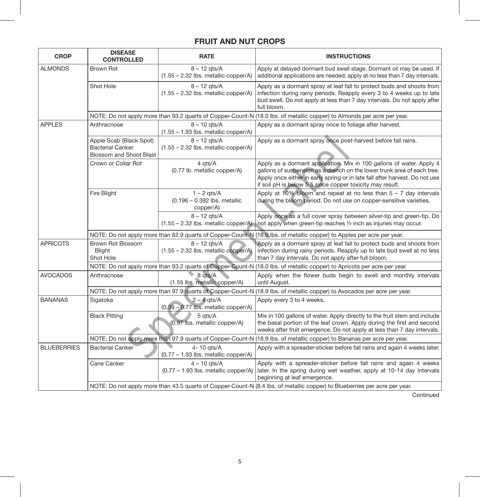## **FRUIT AND NUT CROPS**

| CROP               | <b>DISEASE</b><br><b>CONTROLLED</b>                                                  | <b>RATE</b>                                                | <b>INSTRUCTIONS</b>                                                                                                                                                                                                                                                                         |
|--------------------|--------------------------------------------------------------------------------------|------------------------------------------------------------|---------------------------------------------------------------------------------------------------------------------------------------------------------------------------------------------------------------------------------------------------------------------------------------------|
| <b>ALMONDS</b>     | Brown Rot                                                                            | $8 - 12$ ats/A<br>$(1.55 - 2.32$ lbs. metallic copper/A)   | Apply at delayed dormant bud swell stage. Dormant oil may be used. If<br>additional applications are needed, apply at no less than 7 day intervals.                                                                                                                                         |
|                    | Shot Hole                                                                            | $8 - 12$ qts/A<br>$(1.55 - 2.32$ lbs. metallic copper/A)   | Apply as a dormant spray at leaf fall to protect buds and shoots from<br>infection during rainy periods. Reapply every 3 to 4 weeks up to late<br>bud swell. Do not apply at less than 7 day intervals. Do not apply after<br>full bloom.                                                   |
|                    |                                                                                      |                                                            | NOTE: Do not apply more than 93.2 quarts of Copper-Count-N (18.0 lbs. of metallic copper) to Almonds per acre per year.                                                                                                                                                                     |
| <b>APPLES</b>      | Anthracnose                                                                          | $8 - 10$ ats/A<br>$(1.55 - 1.93$ lbs. metallic copper/A)   | Apply as a dormant spray once to foliage after harvest.                                                                                                                                                                                                                                     |
|                    | Apple Scab (Black Spot)<br><b>Bacterial Canker</b><br><b>Blossom and Shoot Blast</b> | $8 - 12$ qts/A<br>$(1.55 - 2.32$ lbs. metallic copper/A)   | Apply as a dormant spray once post-harvest before fall rains.                                                                                                                                                                                                                               |
|                    | Crown or Collar Rot                                                                  | 4 qts/A<br>(0.77 lb. metallic copper/A)                    | Apply as a dormant application. Mix in 100 gallons of water. Apply 4<br>gallons of suspension as a drench on the lower trunk area of each tree.<br>Apply once either in early spring or in late fall after harvest. Do not use<br>if soil pH is below 5.5 since copper toxicity may result. |
|                    | Fire Blight                                                                          | $1 - 2$ qts/A<br>(0.196 - 0.392 lbs. metallic<br>copper/A) | Apply at 10% bloom and repeat at no less than $5 - 7$ day intervals<br>during the bloom period. Do not use on copper-sensitive varieties.                                                                                                                                                   |
|                    |                                                                                      | $8 - 12$ ats/A                                             | Apply once as a full cover spray between silver-tip and green-tip. Do<br>$(1.55 - 2.32)$ lbs. metallic copper/A) not apply when green-tip reaches $\frac{1}{2}$ inch as injuries may occur.                                                                                                 |
|                    |                                                                                      |                                                            | NOTE: Do not apply more than 82.9 quarts of Copper-Count-N (16.0 lbs. of metallic copper) to Apples per acre per year.                                                                                                                                                                      |
| <b>APRICOTS</b>    | <b>Brown Rot Blossom</b><br><b>Blight</b><br>Shot Hole                               | $8 - 12$ qts/A<br>$(1.55 - 2.32$ lbs. metallic copper/A)   | Apply as a dormant spray at leaf fall to protect buds and shoots from<br>infection during rainy periods. Reapply up to late bud swell at no less<br>than 7 day intervals. Do not apply after full bloom.                                                                                    |
|                    |                                                                                      |                                                            | NOTE: Do not apply more than 93.2 quarts of Copper-Count-N (18.0 lbs. of metallic copper) to Apricots per acre per year.                                                                                                                                                                    |
| <b>AVOCADOS</b>    | Anthracnose                                                                          | $\bullet$ 8 $qts/A$<br>(1.55 lbs. metallic copper/A)       | Apply when the flower buds begin to swell and monthly intervals<br>until August.                                                                                                                                                                                                            |
|                    |                                                                                      |                                                            | NOTE: Do not apply more than 97.9 quarts of Copper-Count-N (18.9 lbs. of metallic copper) to Avocados per acre per year.                                                                                                                                                                    |
| <b>BANANAS</b>     | Sigatoka                                                                             | $2 - 4$ ats/A<br>$(0.39 - 0.77$ lbs. metallic copper/A)    | Apply every 3 to 4 weeks.                                                                                                                                                                                                                                                                   |
|                    | <b>Black Pitting</b>                                                                 | 5 ats/A<br>(0.97 lbs. metallic copper/A)                   | Mix in 100 gallons of water. Apply directly to the fruit stem and include<br>the basal portion of the leaf crown. Apply during the first and second<br>weeks after fruit emergence. Do not apply at less than 7 day intervals.                                                              |
|                    |                                                                                      |                                                            | NOTE: Do not apply more than 97.9 quarts of Copper-Count-N (18.9 lbs. of metallic copper) to Bananas per acre per year.                                                                                                                                                                     |
| <b>BLUEBERRIES</b> | <b>Bacterial Canker</b>                                                              | 4-10 gts/A<br>(0.77 - 1.93 lbs. metallic copper/A)         | Apply with a spreader-sticker before fall rains and again 4 weeks later.                                                                                                                                                                                                                    |
|                    | Cane Canker                                                                          | $4 - 10$ ats/A<br>$(0.77 - 1.93$ lbs. metallic copper/A)   | Apply with a spreader-sticker before fall rains and again 4 weeks<br>later. In the spring during wet weather, apply at 10-14 day intervals<br>beginning at leaf emergence.                                                                                                                  |
|                    |                                                                                      |                                                            | NOTE: Do not apply more than 43.5 quarts of Copper-Count-N (8.4 lbs. of metallic copper) to Blueberries per acre per year.                                                                                                                                                                  |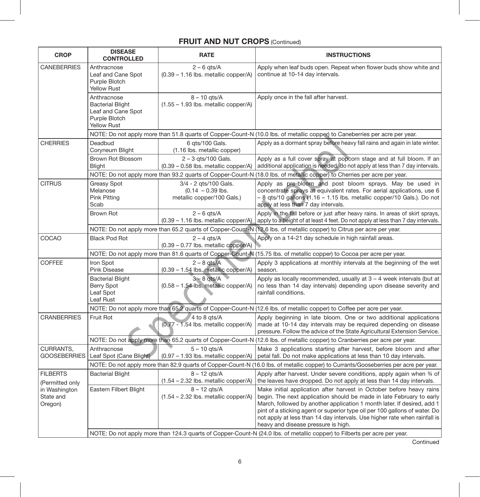## **FRUIT AND NUT CROPS** (Continued)

| CROP                                  | <b>DISEASE</b><br><b>CONTROLLED</b>                                                                 | <b>RATE</b>                                                                | <b>INSTRUCTIONS</b>                                                                                                                                                                                                                                                                                                                                                                |
|---------------------------------------|-----------------------------------------------------------------------------------------------------|----------------------------------------------------------------------------|------------------------------------------------------------------------------------------------------------------------------------------------------------------------------------------------------------------------------------------------------------------------------------------------------------------------------------------------------------------------------------|
| <b>CANEBERRIES</b>                    | Anthracnose<br>Leaf and Cane Spot<br>Purple Blotch<br><b>Yellow Rust</b>                            | $2 - 6$ qts/A<br>$(0.39 - 1.16$ lbs. metallic copper/A)                    | Apply when leaf buds open. Repeat when flower buds show white and<br>continue at 10-14 day intervals.                                                                                                                                                                                                                                                                              |
|                                       | Anthracnose<br><b>Bacterial Blight</b><br>Leaf and Cane Spot<br>Purple Blotch<br><b>Yellow Rust</b> | $8 - 10$ qts/A<br>$(1.55 - 1.93$ lbs. metallic copper/A)                   | Apply once in the fall after harvest.                                                                                                                                                                                                                                                                                                                                              |
|                                       |                                                                                                     |                                                                            | NOTE: Do not apply more than 51.8 quarts of Copper-Count-N (10.0 lbs. of metallic copper) to Caneberries per acre per year.                                                                                                                                                                                                                                                        |
| <b>CHERRIES</b>                       | Deadbud<br>Coryneum Blight                                                                          | 6 qts/100 Gals.<br>(1.16 lbs. metallic copper)                             | Apply as a dormant spray before heavy fall rains and again in late winter.                                                                                                                                                                                                                                                                                                         |
|                                       | <b>Brown Rot Blossom</b><br><b>Blight</b>                                                           | 2 - 3 ats/100 Gals.<br>$(0.39 - 0.58$ lbs. metallic copper/A)              | Apply as a full cover spray at popcorn stage and at full bloom. If an<br>additional application is needed, do not apply at less than 7 day intervals.                                                                                                                                                                                                                              |
|                                       |                                                                                                     |                                                                            | NOTE: Do not apply more than 93.2 quarts of Copper-Count-N (18.0 lbs. of metallic copper) to Cherries per acre per year.                                                                                                                                                                                                                                                           |
| <b>CITRUS</b>                         | Greasy Spot<br>Melanose<br><b>Pink Pitting</b><br>Scab                                              | 3/4 - 2 gts/100 Gals.<br>$(0.14 - 0.39$ lbs.<br>metallic copper/100 Gals.) | Apply as pre-bloom and post bloom sprays. May be used in<br>concentrate sprays at equivalent rates. For aerial applications, use 6<br>- 8 gts/10 gallons (1.16 - 1.15 lbs. metallic copper/10 Gals.). Do not<br>apply at less than 7 day intervals.                                                                                                                                |
|                                       | <b>Brown Rot</b>                                                                                    | $2 - 6$ qts/A<br>$(0.39 - 1.16$ lbs. metallic copper/A)                    | Apply in the fall before or just after heavy rains. In areas of skirt sprays,<br>apply to a height of at least 4 feet. Do not apply at less than 7 day intervals.                                                                                                                                                                                                                  |
|                                       |                                                                                                     |                                                                            | NOTE: Do not apply more than 65.2 quarts of Copper-Count-N (12.6 lbs. of metallic copper) to Citrus per acre per year.                                                                                                                                                                                                                                                             |
| COCAO                                 | <b>Black Pod Rot</b>                                                                                | $2 - 4$ qts/A<br>$(0.39 - 0.77$ lbs. metallic copper/A)                    | Apply on a 14-21 day schedule in high rainfall areas.                                                                                                                                                                                                                                                                                                                              |
|                                       |                                                                                                     |                                                                            | NOTE: Do not apply more than 81.6 quarts of Copper-Count-N (15.75 lbs. of metallic copper) to Cocoa per acre per year.                                                                                                                                                                                                                                                             |
| <b>COFFEE</b>                         | Iron Spot<br><b>Pink Disease</b>                                                                    | $2 - 8$ ats/A<br>(0.39 - 1.54 lbs. metallic copper/A)                      | Apply 3 applications at monthly intervals at the beginning of the wet<br>season.                                                                                                                                                                                                                                                                                                   |
|                                       | <b>Bacterial Blight</b><br>Berry Spot<br>Leaf Spot<br>Leaf Rust                                     | $3 - 8$ qts/A<br>$(0.58 - 1.54$ lbs. metallic copper/A)                    | Apply as locally recommended, usually at $3 - 4$ week intervals (but at<br>no less than 14 day intervals) depending upon disease severity and<br>rainfall conditions.                                                                                                                                                                                                              |
|                                       |                                                                                                     |                                                                            | NOTE: Do not apply more than 65.2 quarts of Copper-Count-N (12.6 lbs. of metallic copper) to Coffee per acre per year.                                                                                                                                                                                                                                                             |
| <b>CRANBERRIES</b>                    | Fruit Rot                                                                                           | 4 to 8 gts/A<br>(0.77 - 1.54 lbs. metallic copper/A)                       | Apply beginning in late bloom. One or two additional applications<br>made at 10-14 day intervals may be required depending on disease<br>pressure. Follow the advice of the State Agricultural Extension Service.                                                                                                                                                                  |
|                                       |                                                                                                     |                                                                            | NOTE: Do not apply more than 65.2 quarts of Copper-Count-N (12.6 lbs. of metallic copper) to Cranberries per acre per year.                                                                                                                                                                                                                                                        |
| CURRANTS,<br><b>GOOSEBERRIES</b>      | Anthracnose<br>Leaf Spot (Cane Blight)                                                              | $5 - 10$ qts/A<br>$(0.97 - 1.93$ lbs. metallic copper/A)                   | Make 3 applications starting after harvest, before bloom and after<br>petal fall. Do not make applications at less than 10 day intervals.                                                                                                                                                                                                                                          |
|                                       |                                                                                                     |                                                                            | NOTE: Do not apply more than 82.9 quarts of Copper-Count-N (16.0 lbs. of metallic copper) to Currants/Gooseberries per acre per year.                                                                                                                                                                                                                                              |
| <b>FILBERTS</b><br>(Permitted only    | <b>Bacterial Blight</b>                                                                             | $8 - 12$ qts/A<br>$(1.54 - 2.32$ lbs. metallic copper/A)                   | Apply after harvest. Under severe conditions, apply again when 34 of<br>the leaves have dropped. Do not apply at less than 14 day intervals.                                                                                                                                                                                                                                       |
| in Washington<br>State and<br>Oregon) | Eastern Filbert Blight                                                                              | $8 - 12$ qts/A<br>$(1.54 - 2.32$ lbs. metallic copper/A)                   | Make initial application after harvest in October before heavy rains<br>begin. The next application should be made in late February to early<br>March, followed by another application 1 month later. If desired, add 1<br>pint of a sticking agent or superior type oil per 100 gallons of water. Do<br>not apply at less than 14 day intervals. Use higher rate when rainfall is |
|                                       |                                                                                                     |                                                                            | heavy and disease pressure is high.<br>NOTE: Do not apply more than 124.3 quarts of Copper-Count-N (24.0 lbs. of metallic copper) to Filberts per acre per year.                                                                                                                                                                                                                   |
|                                       |                                                                                                     |                                                                            |                                                                                                                                                                                                                                                                                                                                                                                    |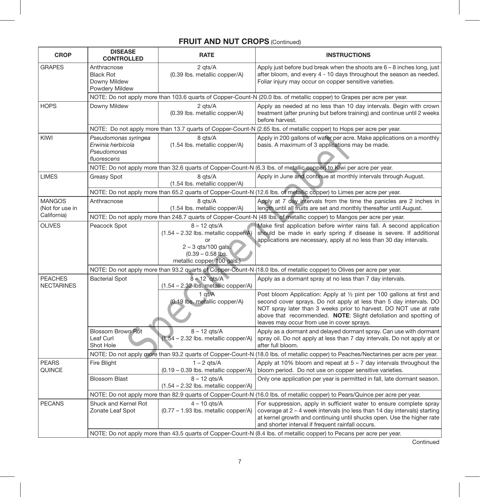## **FRUIT AND NUT CROPS** (Continued)

| <b>CROP</b>                         | <b>DISEASE</b><br><b>CONTROLLED</b>                                                                                    | <b>RATE</b>                                                                                                                                  | <b>INSTRUCTIONS</b>                                                                                                                                                                                                                                                                                                                 |
|-------------------------------------|------------------------------------------------------------------------------------------------------------------------|----------------------------------------------------------------------------------------------------------------------------------------------|-------------------------------------------------------------------------------------------------------------------------------------------------------------------------------------------------------------------------------------------------------------------------------------------------------------------------------------|
| <b>GRAPES</b>                       | Anthracnose<br><b>Black Rot</b><br>Downy Mildew<br>Powdery Mildew                                                      | 2 gts/A<br>(0.39 lbs. metallic copper/A)                                                                                                     | Apply just before bud break when the shoots are $6 - 8$ inches long, just<br>after bloom, and every 4 - 10 days throughout the season as needed.<br>Foliar injury may occur on copper sensitive varieties.                                                                                                                          |
|                                     |                                                                                                                        |                                                                                                                                              | NOTE: Do not apply more than 103.6 quarts of Copper-Count-N (20.0 lbs. of metallic copper) to Grapes per acre per year.                                                                                                                                                                                                             |
| <b>HOPS</b>                         | Downy Mildew                                                                                                           | 2 gts/A<br>(0.39 lbs. metallic copper/A)                                                                                                     | Apply as needed at no less than 10 day intervals. Begin with crown<br>treatment (after pruning but before training) and continue until 2 weeks<br>before harvest.                                                                                                                                                                   |
|                                     |                                                                                                                        |                                                                                                                                              | NOTE: Do not apply more than 13.7 quarts of Copper-Count-N (2.65 lbs. of metallic copper) to Hops per acre per year.                                                                                                                                                                                                                |
| KIWI                                | Pseudomonas syringea<br>Erwinia herbicola<br>Pseudomonas<br>fluorescens                                                | 8 ats/A<br>(1.54 lbs. metallic copper/A)                                                                                                     | Apply in 200 gallons of water per acre. Make applications on a monthly<br>basis. A maximum of 3 applications may be made.                                                                                                                                                                                                           |
|                                     |                                                                                                                        |                                                                                                                                              | NOTE: Do not apply more than 32.6 quarts of Copper-Count-N (6.3 lbs. of metallic copper) to Kiwi per acre per year.                                                                                                                                                                                                                 |
| <b>LIMES</b>                        | Greasy Spot                                                                                                            | 8 ats/A<br>(1.54 lbs. metallic copper/A)                                                                                                     | Apply in June and continue at monthly intervals through August.                                                                                                                                                                                                                                                                     |
|                                     |                                                                                                                        |                                                                                                                                              | NOTE: Do not apply more than 65.2 quarts of Copper-Count-N (12.6 lbs. of metallic copper) to Limes per acre per year.                                                                                                                                                                                                               |
| <b>MANGOS</b><br>(Not for use in    | Anthracnose                                                                                                            | 8 qts/A<br>(1.54 lbs. metallic copper/A)                                                                                                     | Apply at 7 day intervals from the time the panicles are 2 inches in<br>length until all fruits are set and monthly thereafter until August.                                                                                                                                                                                         |
| California)                         | NOTE: Do not apply more than 248.7 quarts of Copper-Count-N (48 lbs. of metallic copper) to Mangos per acre per year.  |                                                                                                                                              |                                                                                                                                                                                                                                                                                                                                     |
| <b>OLIVES</b>                       | Peacock Spot                                                                                                           | $8 - 12$ qts/A<br>$(1.54 - 2.32$ lbs. metallic copper/A)<br>nr<br>$2 - 3$ qts/100 gals.<br>$(0.39 - 0.58$ lbs.<br>metallic copper/100 gals.) | Make first application before winter rains fall. A second application<br>should be made in early spring if disease is severe. If additional<br>applications are necessary, apply at no less than 30 day intervals.                                                                                                                  |
|                                     | NOTE: Do not apply more than 93.2 quarts of Copper-Count-N (18.0 lbs. of metallic copper) to Olives per acre per year. |                                                                                                                                              |                                                                                                                                                                                                                                                                                                                                     |
| <b>PEACHES</b><br><b>NECTARINES</b> | <b>Bacterial Spot</b>                                                                                                  | $8 - 12$ qts/A<br>$(1.54 - 2.32$ lbs. metallic copper/A)                                                                                     | Apply as a dormant spray at no less than 7 day intervals.                                                                                                                                                                                                                                                                           |
|                                     |                                                                                                                        | 1 at/A<br>(0.19 lbs. metallic copper/A)                                                                                                      | Post bloom Application: Apply at 1/2 pint per 100 gallons at first and<br>second cover sprays. Do not apply at less than 5 day intervals. DO<br>NOT spray later than 3 weeks prior to harvest. DO NOT use at rate<br>above that recommended. NOTE: Slight defoliation and spotting of<br>leaves may occur from use in cover sprays. |
|                                     | <b>Blossom Brown Rot</b><br>Leaf Curl<br>Shot Hole                                                                     | $8 - 12$ qts/A<br>$(1.54 - 2.32$ lbs. metallic copper/A)                                                                                     | Apply as a dormant and delayed dormant spray. Can use with dormant<br>spray oil. Do not apply at less than 7 day intervals. Do not apply at or<br>after full bloom.                                                                                                                                                                 |
|                                     |                                                                                                                        |                                                                                                                                              | NOTE: Do not apply more than 93.2 quarts of Copper-Count-N (18.0 lbs. of metallic copper) to Peaches/Nectarines per acre per year.                                                                                                                                                                                                  |
| <b>PEARS</b><br>QUINCE              | Fire Blight                                                                                                            | $1 - 2$ qts/A<br>$(0.19 - 0.39$ lbs. metallic copper/A)                                                                                      | Apply at 10% bloom and repeat at $5 - 7$ day intervals throughout the<br>bloom period. Do not use on copper sensitive varieties.                                                                                                                                                                                                    |
|                                     | <b>Blossom Blast</b>                                                                                                   | $8 - 12$ ats/A<br>$(1.54 - 2.32$ lbs. metallic copper/A)                                                                                     | Only one application per year is permitted in fall, late dormant season.                                                                                                                                                                                                                                                            |
|                                     |                                                                                                                        |                                                                                                                                              | NOTE: Do not apply more than 82.9 quarts of Copper-Count-N (16.0 lbs. of metallic copper) to Pears/Quince per acre per year.                                                                                                                                                                                                        |
| <b>PECANS</b>                       | Shuck and Kernel Rot<br>Zonate Leaf Spot                                                                               | $4 - 10$ qts/A<br>$(0.77 - 1.93$ lbs. metallic copper/A)                                                                                     | For suppression, apply in sufficient water to ensure complete spray<br>coverage at 2 - 4 week intervals (no less than 14 day intervals) starting<br>at kernel growth and continuing until shucks open. Use the higher rate<br>and shorter interval if frequent rainfall occurs.                                                     |
|                                     |                                                                                                                        |                                                                                                                                              | NOTE: Do not apply more than 43.5 quarts of Copper-Count-N (8.4 lbs. of metallic copper) to Pecans per acre per year.                                                                                                                                                                                                               |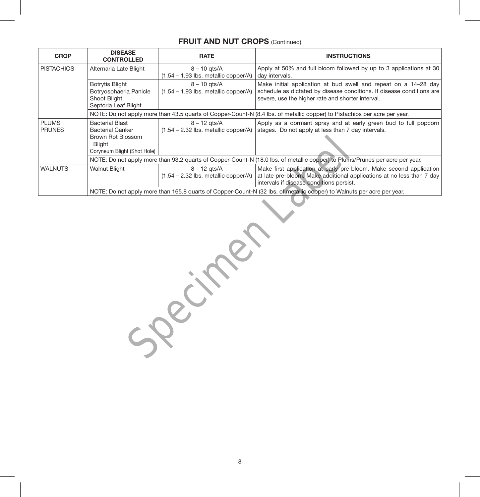## **FRUIT AND NUT CROPS (Continued)**

| <b>CROP</b>                   | <b>DISEASE</b><br><b>CONTROLLED</b>                                                                                          | <b>RATE</b>                                                                                                               | <b>INSTRUCTIONS</b>                                                                                                                                                                           |  |
|-------------------------------|------------------------------------------------------------------------------------------------------------------------------|---------------------------------------------------------------------------------------------------------------------------|-----------------------------------------------------------------------------------------------------------------------------------------------------------------------------------------------|--|
| <b>PISTACHIOS</b>             | Alternaria Late Blight                                                                                                       | $8 - 10$ qts/A<br>$(1.54 - 1.93$ lbs. metallic copper/A)                                                                  | Apply at 50% and full bloom followed by up to 3 applications at 30<br>dav intervals.                                                                                                          |  |
|                               | <b>Botrytis Blight</b><br>Botryosphaeria Panicle<br>Shoot Blight<br>Septoria Leaf Blight                                     | $8 - 10$ qts/A<br>$(1.54 - 1.93$ lbs. metallic copper/A)                                                                  | Make initial application at bud swell and repeat on a 14-28 day<br>schedule as dictated by disease conditions. If disease conditions are<br>severe, use the higher rate and shorter interval. |  |
|                               |                                                                                                                              | NOTE: Do not apply more than 43.5 quarts of Copper-Count-N (8.4 lbs. of metallic copper) to Pistachios per acre per year. |                                                                                                                                                                                               |  |
| <b>PLUMS</b><br><b>PRUNES</b> | <b>Bacterial Blast</b><br><b>Bacterial Canker</b><br>Brown Rot Blossom                                                       | $8 - 12$ gts/A<br>$(1.54 - 2.32$ lbs. metallic copper/A)                                                                  | Apply as a dormant spray and at early green bud to full popcorn<br>stages. Do not apply at less than 7 day intervals.                                                                         |  |
|                               | Blight<br>Coryneum Blight (Shot Hole)                                                                                        |                                                                                                                           |                                                                                                                                                                                               |  |
|                               | NOTE: Do not apply more than 93.2 quarts of Copper-Count-N (18.0 lbs. of metallic copper) to Plums/Prunes per acre per year. |                                                                                                                           |                                                                                                                                                                                               |  |
| <b>WALNUTS</b>                | Walnut Blight                                                                                                                | $8 - 12$ qts/A<br>$(1.54 - 2.32$ lbs. metallic copper/A)                                                                  | Make first application at early pre-bloom. Make second application<br>at late pre-bloom. Make additional applications at no less than 7 day  <br>intervals if disease conditions persist.     |  |
|                               | NOTE: Do not apply more than 165.8 quarts of Copper-Count-N (32 lbs. of metallic copper) to Walnuts per acre per year.       |                                                                                                                           |                                                                                                                                                                                               |  |

Specimen.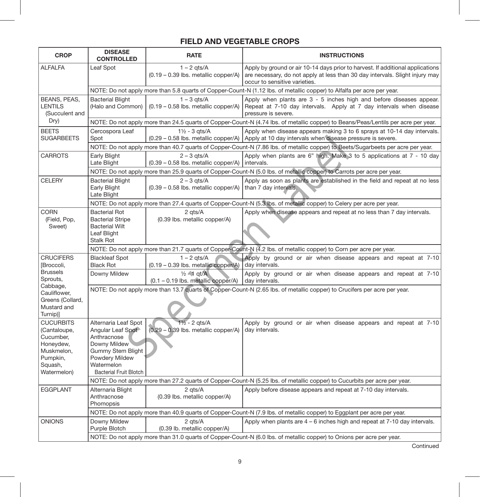## **FIELD AND VEGETABLE CROPS**

| <b>CROP</b>                                                                                                    | <b>DISEASE</b><br><b>CONTROLLED</b>                                                                                                                            | <b>RATE</b>                                                                  | <b>INSTRUCTIONS</b>                                                                                                                                                                             |
|----------------------------------------------------------------------------------------------------------------|----------------------------------------------------------------------------------------------------------------------------------------------------------------|------------------------------------------------------------------------------|-------------------------------------------------------------------------------------------------------------------------------------------------------------------------------------------------|
| <b>ALFALFA</b>                                                                                                 | Leaf Spot                                                                                                                                                      | $1 - 2$ ats/A<br>$(0.19 - 0.39$ lbs. metallic copper/A)                      | Apply by ground or air 10-14 days prior to harvest. If additional applications<br>are necessary, do not apply at less than 30 day intervals. Slight injury may<br>occur to sensitive varieties. |
|                                                                                                                |                                                                                                                                                                |                                                                              | NOTE: Do not apply more than 5.8 quarts of Copper-Count-N (1.12 lbs. of metallic copper) to Alfalfa per acre per year.                                                                          |
| BEANS, PEAS,<br><b>LENTILS</b><br>(Succulent and                                                               | <b>Bacterial Blight</b><br>(Halo and Common)                                                                                                                   | $1 - 3$ qts/A<br>$(0.19 - 0.58$ lbs. metallic copper/A)                      | Apply when plants are 3 - 5 inches high and before diseases appear.<br>Repeat at 7-10 day intervals. Apply at 7 day intervals when disease<br>pressure is severe.                               |
| Dry)                                                                                                           |                                                                                                                                                                |                                                                              | NOTE: Do not apply more than 24.5 quarts of Copper-Count-N (4.74 lbs. of metallic copper) to Beans/Peas/Lentils per acre per year.                                                              |
| <b>BEETS</b><br><b>SUGARBEETS</b>                                                                              | Cercospora Leaf<br>Spot                                                                                                                                        | $1\frac{1}{2}$ - 3 ats/A                                                     | Apply when disease appears making 3 to 6 sprays at 10-14 day intervals.<br>$(0.29 - 0.58$ lbs. metallic copper/A) Apply at 10 day intervals when disease pressure is severe.                    |
|                                                                                                                |                                                                                                                                                                |                                                                              | NOTE: Do not apply more than 40.7 quarts of Copper-Count-N (7.86 lbs. of metallic copper) to Beets/Sugarbeets per acre per year.                                                                |
| <b>CARROTS</b>                                                                                                 | Early Blight<br>Late Blight                                                                                                                                    | $2 - 3$ qts/A<br>$(0.39 - 0.58$ lbs. metallic copper/A) intervals.           | Apply when plants are 6" high. Make 3 to 5 applications at 7 - 10 day                                                                                                                           |
|                                                                                                                |                                                                                                                                                                |                                                                              | NOTE: Do not apply more than 25.9 quarts of Copper-Count-N (5.0 lbs. of metallic copper) to Carrots per acre per year.                                                                          |
| <b>CELERY</b>                                                                                                  | <b>Bacterial Blight</b><br>Early Blight<br>Late Blight                                                                                                         | $2 - 3$ ats/A<br>$(0.39 - 0.58$ lbs. metallic copper/A)                      | Apply as soon as plants are established in the field and repeat at no less<br>than 7 day intervals.                                                                                             |
|                                                                                                                |                                                                                                                                                                |                                                                              | NOTE: Do not apply more than 27.4 quarts of Copper-Count-N (5.3 lbs. of metallic copper) to Celery per acre per year.                                                                           |
| <b>CORN</b><br>(Field, Pop,<br>Sweet)                                                                          | <b>Bacterial Rot</b><br><b>Bacterial Stripe</b><br><b>Bacterial Wilt</b><br>Leaf Blight<br>Stalk Rot                                                           | 2 gts/A<br>(0.39 lbs. metallic copper/A)                                     | Apply when disease appears and repeat at no less than 7 day intervals.                                                                                                                          |
|                                                                                                                |                                                                                                                                                                |                                                                              | NOTE: Do not apply more than 21.7 quarts of Copper-Count-N (4.2 lbs. of metallic copper) to Corn per acre per year.                                                                             |
| <b>CRUCIFERS</b><br>[Broccoli,                                                                                 | <b>Blackleaf Spot</b><br><b>Black Rot</b>                                                                                                                      | $1 - 2$ qts/A<br>$(0.19 - 0.39$ lbs. metallic copper/A)                      | Apply by ground or air when disease appears and repeat at 7-10<br>day intervals.                                                                                                                |
| <b>Brussels</b><br>Sprouts,<br>Cabbage,                                                                        | Downy Mildew                                                                                                                                                   | $\frac{1}{2}$ - $\blacksquare$ at/A<br>$(0.1 - 0.19$ lbs. metallic copper/A) | Apply by ground or air when disease appears and repeat at 7-10<br>day intervals.                                                                                                                |
| Cauliflower,<br>Greens (Collard,<br>Mustard and<br>Turnip)]                                                    |                                                                                                                                                                |                                                                              | NOTE: Do not apply more than 13.7 quarts of Copper-Count-N (2.65 lbs. of metallic copper) to Crucifers per acre per year.                                                                       |
| <b>CUCURBITS</b><br>(Cantaloupe,<br>Cucumber,<br>Honeydew,<br>Muskmelon,<br>Pumpkin,<br>Squash,<br>Watermelon) | Alternaria Leaf Spot<br>Angular Leaf Spot<br>Anthracnose<br>Downy Mildew<br>Gummy Stem Blight<br>Powdery Mildew<br>Watermelon<br><b>Bacterial Fruit Blotch</b> | $1\frac{1}{2}$ - 2 ats/A<br>$(0.29 - 0.39$ lbs. metallic copper/A)           | Apply by ground or air when disease appears and repeat at 7-10<br>day intervals.                                                                                                                |
|                                                                                                                |                                                                                                                                                                |                                                                              | NOTE: Do not apply more than 27.2 quarts of Copper-Count-N (5.25 lbs. of metallic copper) to Cucurbits per acre per year.                                                                       |
| <b>EGGPLANT</b>                                                                                                | Alternaria Blight<br>Anthracnose<br>Phomopsis                                                                                                                  | 2 gts/A<br>(0.39 lbs. metallic copper/A)                                     | Apply before disease appears and repeat at 7-10 day intervals.                                                                                                                                  |
|                                                                                                                |                                                                                                                                                                |                                                                              | NOTE: Do not apply more than 40.9 quarts of Copper-Count-N (7.9 lbs. of metallic copper) to Eggplant per acre per year.                                                                         |
| <b>ONIONS</b>                                                                                                  | Downy Mildew<br>Purple Blotch                                                                                                                                  | 2 ats/A<br>(0.39 lb. metallic copper/A)                                      | Apply when plants are 4 - 6 inches high and repeat at 7-10 day intervals.                                                                                                                       |
|                                                                                                                | NOTE: Do not apply more than 31.0 quarts of Copper-Count-N (6.0 lbs. of metallic copper) to Onions per acre per year.                                          |                                                                              |                                                                                                                                                                                                 |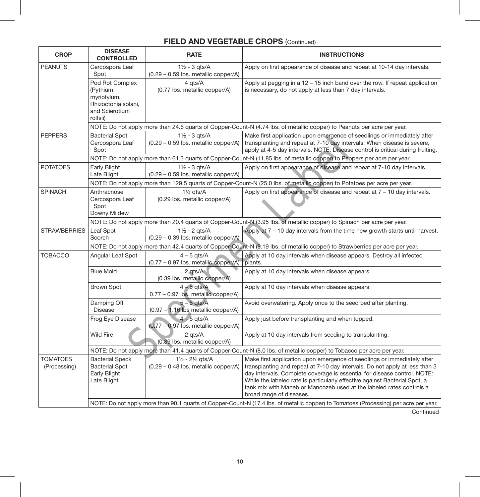## **FIELD AND VEGETABLE CROPS (Continued)**

| <b>CROP</b>                     | <b>DISEASE</b><br><b>CONTROLLED</b>                                                                                                   | <b>RATE</b>                                                                                                                  | <b>INSTRUCTIONS</b>                                                                                                                                                                                                                                                                                                                                                                                                  |
|---------------------------------|---------------------------------------------------------------------------------------------------------------------------------------|------------------------------------------------------------------------------------------------------------------------------|----------------------------------------------------------------------------------------------------------------------------------------------------------------------------------------------------------------------------------------------------------------------------------------------------------------------------------------------------------------------------------------------------------------------|
| <b>PEANUTS</b>                  | Cercospora Leaf<br>Spot                                                                                                               | $1\frac{1}{2} - 3$ ats/A<br>$(0.29 - 0.59$ lbs. metallic copper/A)                                                           | Apply on first appearance of disease and repeat at 10-14 day intervals.                                                                                                                                                                                                                                                                                                                                              |
|                                 | Pod Rot Complex<br>(Pythium<br>myriotylum,<br>Rhizoctonia solani.<br>and Scierotium<br>rolfsii)                                       | 4 ats/A<br>(0.77 lbs. metallic copper/A)                                                                                     | Apply at pegging in a 12 – 15 inch band over the row. If repeat application<br>is necessary, do not apply at less than 7 day intervals.                                                                                                                                                                                                                                                                              |
|                                 |                                                                                                                                       |                                                                                                                              | NOTE: Do not apply more than 24.6 quarts of Copper-Count-N (4.74 lbs. of metallic copper) to Peanuts per acre per year.                                                                                                                                                                                                                                                                                              |
| <b>PEPPERS</b>                  | <b>Bacterial Spot</b><br>Cercospora Leaf<br>Spot                                                                                      | $1\frac{1}{2} - 3$ qts/A<br>$(0.29 - 0.59$ lbs. metallic copper/A)                                                           | Make first application upon emergence of seedlings or immediately after<br>transplanting and repeat at 7-10 day intervals. When disease is severe,<br>apply at 4-5 day intervals. NOTE: Disease control is critical during fruiting.                                                                                                                                                                                 |
|                                 |                                                                                                                                       |                                                                                                                              | NOTE: Do not apply more than 61.3 quarts of Copper-Count-N (11.85 lbs. of metallic copper) to Peppers per acre per year.                                                                                                                                                                                                                                                                                             |
| <b>POTATOES</b>                 | Early Blight<br>Late Blight                                                                                                           | $1\frac{1}{2}$ - 3 ats/A<br>$(0.29 - 0.59$ lbs. metallic copper/A)                                                           | Apply on first appearance of disease and repeat at 7-10 day intervals.                                                                                                                                                                                                                                                                                                                                               |
|                                 |                                                                                                                                       |                                                                                                                              | NOTE: Do not apply more than 129.5 quarts of Copper-Count-N (25.0 lbs. of metallic copper) to Potatoes per acre per year.                                                                                                                                                                                                                                                                                            |
| <b>SPINACH</b>                  | Anthracnose<br>Cercospora Leaf<br>Spot<br>Downy Mildew                                                                                | $1\frac{1}{2}$ qts/A<br>(0.29 lbs. metallic copper/A)                                                                        | Apply on first appearance of disease and repeat at 7 - 10 day intervals.                                                                                                                                                                                                                                                                                                                                             |
|                                 | NOTE: Do not apply more than 20.4 quarts of Copper-Count-N (3.95 lbs. of metallic copper) to Spinach per acre per year.               |                                                                                                                              |                                                                                                                                                                                                                                                                                                                                                                                                                      |
| <b>STRAWBERRIES</b>             | Leaf Spot<br>Scorch                                                                                                                   | $1\frac{1}{2}$ - 2 qts/A<br>$(0.29 - 0.39$ lbs. metallic copper/A)                                                           | Apply at 7 - 10 day intervals from the time new growth starts until harvest.                                                                                                                                                                                                                                                                                                                                         |
|                                 |                                                                                                                                       | NOTE: Do not apply more than 42.4 quarts of Copper-Count-N (8.19 lbs. of metallic copper) to Strawberries per acre per year. |                                                                                                                                                                                                                                                                                                                                                                                                                      |
| <b>TOBACCO</b>                  | Angular Leaf Spot                                                                                                                     | $4 - 5$ qts/A<br>$(0.77 - 0.97$ lbs. metallic copper/A)                                                                      | Apply at 10 day intervals when disease appears. Destroy all infected<br>plants.                                                                                                                                                                                                                                                                                                                                      |
|                                 | <b>Blue Mold</b>                                                                                                                      | 2 gts/A<br>(0.39 lbs. metallic copper/A)                                                                                     | Apply at 10 day intervals when disease appears.                                                                                                                                                                                                                                                                                                                                                                      |
|                                 | <b>Brown Spot</b>                                                                                                                     | $4 - 5$ ats/A<br>0.77 - 0.97 lbs. metallic copper/A)                                                                         | Apply at 10 day intervals when disease appears.                                                                                                                                                                                                                                                                                                                                                                      |
|                                 | Damping Off<br><b>Disease</b>                                                                                                         | $5 - 6$ ats/A<br>$(0.97 - 1.16$ lbs metallic copper/A)                                                                       | Avoid overwatering. Apply once to the seed bed after planting.                                                                                                                                                                                                                                                                                                                                                       |
|                                 | Frog Eye Disease                                                                                                                      | $4 - 5$ ats/A<br>$(0.77 - 0.97$ lbs. metallic copper/A)                                                                      | Apply just before transplanting and when topped.                                                                                                                                                                                                                                                                                                                                                                     |
|                                 | <b>Wild Fire</b>                                                                                                                      | 2 gts/A<br>(0.39 lbs. metallic copper/A)                                                                                     | Apply at 10 day intervals from seeding to transplanting.                                                                                                                                                                                                                                                                                                                                                             |
|                                 |                                                                                                                                       |                                                                                                                              | NOTE: Do not apply more than 41.4 quarts of Copper-Count-N (8.0 lbs. of metallic copper) to Tobacco per acre per year.                                                                                                                                                                                                                                                                                               |
| <b>TOMATOES</b><br>(Processing) | <b>Bacterial Speck</b><br><b>Bacterial Spot</b><br>Early Blight<br>Late Blight                                                        | 11/2 - 21/2 qts/A<br>$(0.29 - 0.48$ lbs. metallic copper/A)                                                                  | Make first application upon emergence of seedlings or immediately after<br>transplanting and repeat at 7-10 day intervals. Do not apply at less than 3<br>day intervals. Complete coverage is essential for disease control. NOTE:<br>While the labeled rate is particularly effective against Bacterial Spot, a<br>tank mix with Maneb or Mancozeb used at the labeled rates controls a<br>broad range of diseases. |
|                                 | NOTE: Do not apply more than 90.1 quarts of Copper-Count-N (17.4 lbs. of metallic copper) to Tomatoes (Processing) per acre per year. |                                                                                                                              |                                                                                                                                                                                                                                                                                                                                                                                                                      |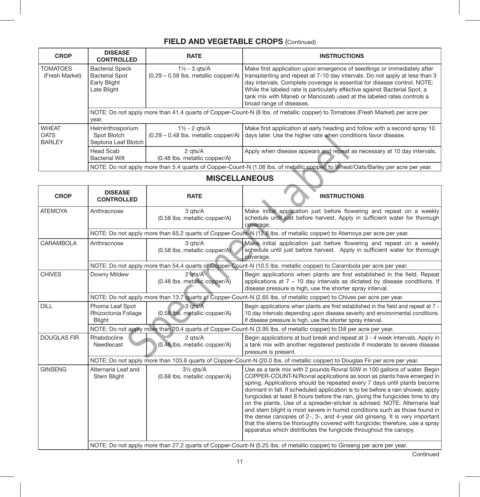## **FIELD AND VEGETABLE CROPS (Continued)**

| <b>CROP</b>                                  | <b>DISEASE</b><br><b>CONTROLLED</b>                                                                                              | <b>RATE</b>                                                        | <b>INSTRUCTIONS</b>                                                                                                                                                                                                                                                                                                                                                                                                  |
|----------------------------------------------|----------------------------------------------------------------------------------------------------------------------------------|--------------------------------------------------------------------|----------------------------------------------------------------------------------------------------------------------------------------------------------------------------------------------------------------------------------------------------------------------------------------------------------------------------------------------------------------------------------------------------------------------|
| <b>TOMATOES</b><br>(Fresh Market)            | <b>Bacterial Speck</b><br><b>Bacterial Spot</b><br>Early Blight<br>Late Blight                                                   | $1\frac{1}{2} - 3$ qts/A<br>$(0.29 - 0.58$ lbs. metallic copper/A) | Make first application upon emergence of seedlings or immediately after<br>transplanting and repeat at 7-10 day intervals. Do not apply at less than 3<br>day intervals. Complete coverage is essential for disease control. NOTE:<br>While the labeled rate is particularly effective against Bacterial Spot, a<br>tank mix with Maneb or Mancozeb used at the labeled rates controls a<br>broad range of diseases. |
|                                              | year.                                                                                                                            |                                                                    | NOTE: Do not apply more than 41.4 quarts of Copper-Count-N (8 lbs. of metallic copper) to Tomatoes (Fresh Market) per acre per                                                                                                                                                                                                                                                                                       |
| <b>WHEAT</b><br><b>OATS</b><br><b>BARLEY</b> | Helminthosporium<br>Spot Blotch<br>Septoria Leaf Blotch                                                                          | $1\frac{1}{2}$ - 2 gts/A<br>$(0.29 - 0.48$ lbs. metallic copper/A) | Make first application at early heading and follow with a second spray 10<br>days later. Use the higher rate when conditions favor disease.                                                                                                                                                                                                                                                                          |
|                                              | Head Scab<br><b>Bacterial Wilt</b>                                                                                               | 2 gts/A<br>(0.48 lbs. metallic copper/A)                           | Apply when disease appears and repeat as necessary at 10 day intervals.                                                                                                                                                                                                                                                                                                                                              |
|                                              | NOTE: Do not apply more than 5.4 quarts of Copper-Count-N (1.06 lbs. of metallic copper) to Wheat/Oats/Barley per acre per year. |                                                                    |                                                                                                                                                                                                                                                                                                                                                                                                                      |

## **MISCELLANEOUS**

| UAIO<br><b>BARLEY</b> | <b>ODUL DIULUI</b><br>Septoria Leaf Blotch              |                                                       | (0.29 – 0.46 IDS. HIGRAING CODDEN/A)   GAYS RIGH. OSG THE HIGHEL RIG WHEN CONDITIONS RIVOL GISGASG.                                                                                                                                                                                                                                                                                                                                                                                                                                                                                                                                                                                                                                                                                           |
|-----------------------|---------------------------------------------------------|-------------------------------------------------------|-----------------------------------------------------------------------------------------------------------------------------------------------------------------------------------------------------------------------------------------------------------------------------------------------------------------------------------------------------------------------------------------------------------------------------------------------------------------------------------------------------------------------------------------------------------------------------------------------------------------------------------------------------------------------------------------------------------------------------------------------------------------------------------------------|
|                       | Head Scab<br><b>Bacterial Wilt</b>                      | 2 qts/A<br>(0.48 lbs. metallic copper/A)              | Apply when disease appears and repeat as necessary at 10 day intervals.                                                                                                                                                                                                                                                                                                                                                                                                                                                                                                                                                                                                                                                                                                                       |
|                       |                                                         |                                                       | NOTE: Do not apply more than 5.4 quarts of Copper-Count-N (1.06 lbs. of metallic copper) to Wheat/Oats/Barley per acre per year.                                                                                                                                                                                                                                                                                                                                                                                                                                                                                                                                                                                                                                                              |
|                       |                                                         | <b>MISCELLANEOUS</b>                                  |                                                                                                                                                                                                                                                                                                                                                                                                                                                                                                                                                                                                                                                                                                                                                                                               |
| <b>CROP</b>           | <b>DISEASE</b><br><b>CONTROLLED</b>                     | <b>RATE</b>                                           | <b>INSTRUCTIONS</b>                                                                                                                                                                                                                                                                                                                                                                                                                                                                                                                                                                                                                                                                                                                                                                           |
| <b>ATEMOYA</b>        | Anthracnose                                             | 3 qts/A<br>(0.58 lbs. metallic copper/A)              | Make initial application just before flowering and repeat on a weekly<br>schedule until just before harvest. Apply in sufficient water for thorough<br>coverage.                                                                                                                                                                                                                                                                                                                                                                                                                                                                                                                                                                                                                              |
|                       |                                                         |                                                       | NOTE: Do not apply more than 65.2 quarts of Copper-Count-N (12.6 lbs. of metallic copper) to Atemoya per acre per year.                                                                                                                                                                                                                                                                                                                                                                                                                                                                                                                                                                                                                                                                       |
| CARAMBOLA             | Anthracnose                                             | 3 ats/A<br>(0.58 lbs. metallic copper/A)              | Make initial application just before flowering and repeat on a weekly<br>schedule until just before harvest. Apply in sufficient water for thorough<br>coverage.                                                                                                                                                                                                                                                                                                                                                                                                                                                                                                                                                                                                                              |
|                       |                                                         |                                                       | NOTE: Do not apply more than 54.4 quarts of Copper-Count-N (10.5 lbs. metallic copper) to Carambola per acre per year.                                                                                                                                                                                                                                                                                                                                                                                                                                                                                                                                                                                                                                                                        |
| <b>CHIVES</b>         | Downy Mildew                                            | $2$ ats/ $A$<br>(0.48 lbs. metallic copper/A)         | Begin applications when plants are first established in the field. Repeat<br>applications at $7 - 10$ day intervals as dictated by disease conditions. If<br>disease pressure is high, use the shorter spray interval.                                                                                                                                                                                                                                                                                                                                                                                                                                                                                                                                                                        |
|                       |                                                         |                                                       | NOTE: Do not apply more than 13.7 quarts of Copper-Count-N (2.65 lbs. of metallic copper) to Chives per acre per year.                                                                                                                                                                                                                                                                                                                                                                                                                                                                                                                                                                                                                                                                        |
| <b>DILL</b>           | Phoma Leaf Spot<br>Rhizoctonia Foliage<br><b>Blight</b> | 3 ats/A<br>(0.58 lbs. metallic copper/A)              | Begin applications when plants are first established in the field and repeat at 7 -<br>10 day intervals depending upon disease severity and environmental conditions.<br>If disease pressure is high, use the shorter spray interval.                                                                                                                                                                                                                                                                                                                                                                                                                                                                                                                                                         |
|                       |                                                         |                                                       | NOTE: Do not apply more than 20.4 quarts of Copper-Count-N (3.95 lbs. of metallic copper) to Dill per acre per year.                                                                                                                                                                                                                                                                                                                                                                                                                                                                                                                                                                                                                                                                          |
| <b>DOUGLAS FIR</b>    | Rhabdocline<br>Needlecast                               | 2 ats/A<br>(0.48 lbs. metallic copper/A)              | Begin applications at bud break and repeat at 3 - 4 week intervals. Apply in<br>a tank mix with another registered pesticide if moderate to severe disease<br>pressure is present.                                                                                                                                                                                                                                                                                                                                                                                                                                                                                                                                                                                                            |
|                       |                                                         |                                                       | NOTE: Do not apply more than 103.6 quarts of Copper-Count-N (20.0 lbs. of metallic copper) to Douglas Fir per acre per year.                                                                                                                                                                                                                                                                                                                                                                                                                                                                                                                                                                                                                                                                  |
| <b>GINSENG</b>        | Alternaria Leaf and<br>Stem Blight                      | $3\frac{1}{2}$ ats/A<br>(0.68 lbs. metallic copper/A) | Use as a tank mix with 2 pounds Rovral 50W in 100 gallons of water. Begin<br>COPPER-COUNT-N/Rovral applications as soon as plants have emerged in<br>spring. Applications should be repeated every 7 days until plants become<br>dormant in fall. If scheduled application is to be before a rain shower, apply<br>fungicides at least 8 hours before the rain, giving the fungicides time to dry<br>on the plants. Use of a spreader-sticker is advised. NOTE: Alternaria leaf<br>and stem blight is most severe in humid conditions such as those found in<br>the dense canopies of 2-, 3-, and 4-year old ginseng. It is very important<br>that the stems be thoroughly covered with fungicide; therefore, use a spray<br>apparatus which distributes the fungicide throughout the canopy. |
|                       |                                                         |                                                       | NOTE: Do not apply more than 27.2 quarts of Copper-Count-N (5.25 lbs. of metallic copper) to Ginseng per acre per year.                                                                                                                                                                                                                                                                                                                                                                                                                                                                                                                                                                                                                                                                       |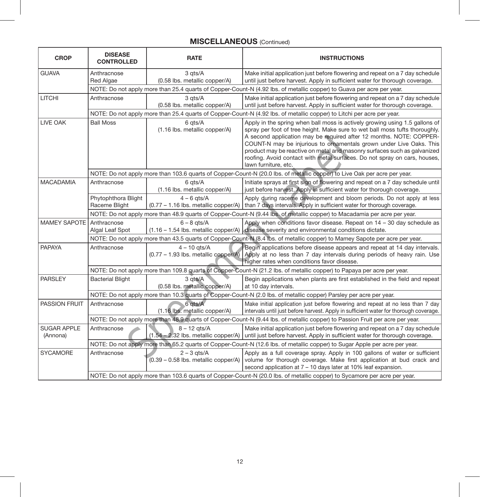## **MISCELLANEOUS** (Continued)

| <b>CROP</b>                    | <b>DISEASE</b><br><b>CONTROLLED</b>                                                                                           | <b>RATE</b>                                                                                                                                                                                                            | <b>INSTRUCTIONS</b>                                                                                                                                                                                                                                                                                                                                                                                                                                                                       |  |
|--------------------------------|-------------------------------------------------------------------------------------------------------------------------------|------------------------------------------------------------------------------------------------------------------------------------------------------------------------------------------------------------------------|-------------------------------------------------------------------------------------------------------------------------------------------------------------------------------------------------------------------------------------------------------------------------------------------------------------------------------------------------------------------------------------------------------------------------------------------------------------------------------------------|--|
| <b>GUAVA</b>                   | Anthracnose<br>Red Algae                                                                                                      | 3 ats/A<br>(0.58 lbs. metallic copper/A)                                                                                                                                                                               | Make initial application just before flowering and repeat on a 7 day schedule<br>until just before harvest. Apply in sufficient water for thorough coverage.                                                                                                                                                                                                                                                                                                                              |  |
|                                |                                                                                                                               |                                                                                                                                                                                                                        | NOTE: Do not apply more than 25.4 quarts of Copper-Count-N (4.92 lbs. of metallic copper) to Guava per acre per year.                                                                                                                                                                                                                                                                                                                                                                     |  |
| <b>LITCHI</b>                  | Anthracnose                                                                                                                   | 3 ats/A<br>(0.58 lbs. metallic copper/A)                                                                                                                                                                               | Make initial application just before flowering and repeat on a 7 day schedule<br>until just before harvest. Apply in sufficient water for thorough coverage.                                                                                                                                                                                                                                                                                                                              |  |
|                                |                                                                                                                               |                                                                                                                                                                                                                        | NOTE: Do not apply more than 25.4 quarts of Copper-Count-N (4.92 lbs. of metallic copper) to Litchi per acre per year.                                                                                                                                                                                                                                                                                                                                                                    |  |
| <b>LIVE OAK</b>                | <b>Ball Moss</b>                                                                                                              | 6 ats/A<br>(1.16 lbs. metallic copper/A)                                                                                                                                                                               | Apply in the spring when ball moss is actively growing using 1.5 gallons of<br>spray per foot of tree height. Make sure to wet ball moss tufts thoroughly.<br>A second application may be required after 12 months. NOTE: COPPER-<br>COUNT-N may be injurious to ornamentals grown under Live Oaks. This<br>product may be reactive on metal and masonry surfaces such as galvanized<br>roofing. Avoid contact with metal surfaces. Do not spray on cars, houses,<br>lawn furniture, etc. |  |
|                                |                                                                                                                               |                                                                                                                                                                                                                        | NOTE: Do not apply more than 103.6 quarts of Copper-Count-N (20.0 lbs. of metallic copper) to Live Oak per acre per year.                                                                                                                                                                                                                                                                                                                                                                 |  |
| <b>MACADAMIA</b>               | Anthracnose                                                                                                                   | 6 ats/A<br>(1.16 lbs. metallic copper/A)                                                                                                                                                                               | Initiate sprays at first sign of flowering and repeat on a 7 day schedule until<br>just before harvest. Apply in sufficient water for thorough coverage.                                                                                                                                                                                                                                                                                                                                  |  |
|                                | Phytophthora Blight<br>Raceme Blight                                                                                          | $4 - 6$ qts/A<br>$(0.77 - 1.16$ lbs. metallic copper/A)                                                                                                                                                                | Apply during raceme development and bloom periods. Do not apply at less<br>than 7 days intervals. Apply in sufficient water for thorough coverage.                                                                                                                                                                                                                                                                                                                                        |  |
|                                |                                                                                                                               | NOTE: Do not apply more than 48.9 quarts of Copper-Count-N (9.44 lbs. of metallic copper) to Macadamia per acre per year.                                                                                              |                                                                                                                                                                                                                                                                                                                                                                                                                                                                                           |  |
| <b>MAMEY SAPOTE</b>            | Anthracnose<br>Algal Leaf Spot                                                                                                | $6 - 8$ qts/A                                                                                                                                                                                                          | Apply when conditions favor disease. Repeat on 14 - 30 day schedule as<br>$(1.16 - 1.54)$ lbs. metallic copper/A) disease severity and environmental conditions dictate.                                                                                                                                                                                                                                                                                                                  |  |
|                                |                                                                                                                               | NOTE: Do not apply more than 43.5 quarts of Copper-Count-N (8.4 lbs. of metallic copper) to Mamey Sapote per acre per year.                                                                                            |                                                                                                                                                                                                                                                                                                                                                                                                                                                                                           |  |
| <b>PAPAYA</b>                  | Anthracnose                                                                                                                   | $4 - 10$ qts/A<br>$(0.77 - 1.93$ lbs. metallic copper/A)                                                                                                                                                               | Begin applications before disease appears and repeat at 14 day intervals.<br>Apply at no less than 7 day intervals during periods of heavy rain. Use<br>higher rates when conditions favor disease.                                                                                                                                                                                                                                                                                       |  |
|                                |                                                                                                                               | NOTE: Do not apply more than 109.8 quarts of Copper-Count-N (21.2 lbs. of metallic copper) to Papaya per acre per year.                                                                                                |                                                                                                                                                                                                                                                                                                                                                                                                                                                                                           |  |
| <b>PARSLEY</b>                 | <b>Bacterial Blight</b>                                                                                                       | 3 ats/A<br>(0.58 lbs. metallic copper/A)                                                                                                                                                                               | Begin applications when plants are first established in the field and repeat<br>at 10 day intervals.                                                                                                                                                                                                                                                                                                                                                                                      |  |
|                                |                                                                                                                               | NOTE: Do not apply more than 10.3 quarts of Copper-Count-N (2.0 lbs. of metallic copper) Parsley per acre per year.                                                                                                    |                                                                                                                                                                                                                                                                                                                                                                                                                                                                                           |  |
| <b>PASSION FRUIT</b>           | Anthracnose                                                                                                                   | 6 ats/A<br>(1.16 lbs. metallic copper/A)                                                                                                                                                                               | Make initial application just before flowering and repeat at no less than 7 day<br>intervals until just before harvest. Apply in sufficient water for thorough coverage.                                                                                                                                                                                                                                                                                                                  |  |
|                                | NOTE: Do not apply more than 48.9 quarts of Copper-Count-N (9.44 lbs. of metallic copper) to Passion Fruit per acre per year. |                                                                                                                                                                                                                        |                                                                                                                                                                                                                                                                                                                                                                                                                                                                                           |  |
| <b>SUGAR APPLE</b><br>(Annona) | Anthracnose                                                                                                                   | $8 - 12$ qts/A<br>Make initial application just before flowering and repeat on a 7 day schedule<br>$(1.54 - 2.32)$ lbs. metallic copper/A) until just before harvest. Apply in sufficient water for thorough coverage. |                                                                                                                                                                                                                                                                                                                                                                                                                                                                                           |  |
|                                |                                                                                                                               |                                                                                                                                                                                                                        | NOTE: Do not apply more than 65.2 quarts of Copper-Count-N (12.6 lbs. of metallic copper) to Sugar Apple per acre per year.                                                                                                                                                                                                                                                                                                                                                               |  |
| <b>SYCAMORE</b>                | Anthracnose                                                                                                                   | $2 - 3$ ats/A<br>$(0.39 - 0.58$ lbs. metallic copper/A)                                                                                                                                                                | Apply as a full coverage spray. Apply in 100 gallons of water or sufficient<br>volume for thorough coverage. Make first application at bud crack and<br>second application at 7 - 10 days later at 10% leaf expansion.                                                                                                                                                                                                                                                                    |  |
|                                | NOTE: Do not apply more than 103.6 quarts of Copper-Count-N (20.0 lbs. of metallic copper) to Sycamore per acre per year.     |                                                                                                                                                                                                                        |                                                                                                                                                                                                                                                                                                                                                                                                                                                                                           |  |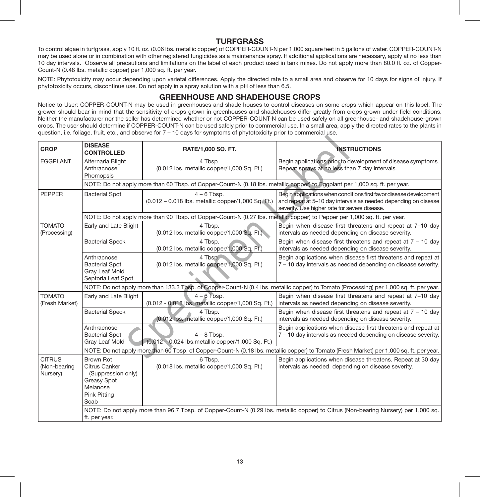## **TURFGRASS**

To control algae in turfgrass, apply 10 fl. oz. (0.06 lbs. metallic copper) of COPPER-COUNT-N per 1,000 square feet in 5 gallons of water. COPPER-COUNT-N may be used alone or in combination with other registered fungicides as a maintenance spray. If additional applications are necessary, apply at no less than 10 day intervals. Observe all precautions and limitations on the label of each product used in tank mixes. Do not apply more than 80.0 fl. oz. of Copper-Count-N (0.48 lbs. metallic copper) per 1,000 sq. ft. per year.

NOTE: Phytotoxicity may occur depending upon varietal differences. Apply the directed rate to a small area and observe for 10 days for signs of injury. If phytotoxicity occurs, discontinue use. Do not apply in a spray solution with a pH of less than 6.5.

## **GREENHOUSE AND SHADEHOUSE CROPS**

Notice to User: COPPER-COUNT-N may be used in greenhouses and shade houses to control diseases on some crops which appear on this label. The grower should bear in mind that the sensitivity of crops grown in greenhouses and shadehouses differ greatly from crops grown under field conditions. Neither the manufacturer nor the seller has determined whether or not COPPER-COUNT-N can be used safely on all greenhouse- and shadehouse-grown crops. The user should determine if COPPER-COUNT-N can be used safely prior to commercial use. In a small area, apply the directed rates to the plants in question, i.e. foliage, fruit, etc., and observe for 7 – 10 days for symptoms of phytotoxicity prior to commercial use.

| <b>CROP</b>                               | <b>DISEASE</b><br><b>CONTROLLED</b>                                                                                      | RATE/1,000 SQ. FT.                                                                                                        | <b>INSTRUCTIONS</b>                                                                                                                                                                    |
|-------------------------------------------|--------------------------------------------------------------------------------------------------------------------------|---------------------------------------------------------------------------------------------------------------------------|----------------------------------------------------------------------------------------------------------------------------------------------------------------------------------------|
| <b>EGGPLANT</b>                           | Alternaria Blight<br>Anthracnose<br>Phomopsis                                                                            | 4 Tbsp.<br>(0.012 lbs. metallic copper/1,000 Sq. Ft.)                                                                     | Begin applications prior to development of disease symptoms.<br>Repeat sprays at no less than 7 day intervals.                                                                         |
|                                           |                                                                                                                          |                                                                                                                           | NOTE: Do not apply more than 60 Tbsp. of Copper-Count-N (0.18 lbs. metallic copper) to Eggplant per 1,000 sq. ft. per year.                                                            |
| <b>PEPPER</b>                             | <b>Bacterial Spot</b>                                                                                                    | $4 - 6$ Tbsp.<br>(0.012 - 0.018 lbs. metallic copper/1,000 Sq, Et.)                                                       | Begin applications when conditions first favor disease development<br>and repeat at 5-10 day intervals as needed depending on disease<br>severity. Use higher rate for severe disease. |
|                                           |                                                                                                                          | NOTE: Do not apply more than 90 Tbsp. of Copper-Count-N (0.27 lbs. metallic copper) to Pepper per 1,000 sq. ft. per year. |                                                                                                                                                                                        |
| <b>TOMATO</b><br>(Processing)             | Early and Late Blight                                                                                                    | 4 Tbsp.<br>(0.012 lbs. metallic copper/1,000 Sq. Ft.)                                                                     | Begin when disease first threatens and repeat at 7-10 day<br>intervals as needed depending on disease severity.                                                                        |
|                                           | <b>Bacterial Speck</b>                                                                                                   | 4 Tbsp.<br>(0.012 lbs. metallic copper/1,000 Sq. Ft.)                                                                     | Begin when disease first threatens and repeat at $7 - 10$ day<br>intervals as needed depending on disease severity.                                                                    |
|                                           | Anthracnose<br><b>Bacterial Spot</b><br>Gray Leaf Mold<br>Septoria Leaf Spot                                             | 4 Tbsp.<br>(0.012 lbs. metallic copper/1,000 Sq. Ft.)                                                                     | Begin applications when disease first threatens and repeat at<br>7 - 10 day intervals as needed depending on disease severity.                                                         |
|                                           |                                                                                                                          |                                                                                                                           | NOTE: Do not apply more than 133.3 Tbsp. of Copper-Count-N (0.4 lbs. metallic copper) to Tomato (Processing) per 1,000 sq. ft. per year.                                               |
| <b>TOMATO</b><br>(Fresh Market)           | Early and Late Blight                                                                                                    | $4 - 6$ Tbsp.<br>(0.012 - 0.018 lbs. metallic copper/1,000 Sq. Ft.)                                                       | Begin when disease first threatens and repeat at 7-10 day<br>intervals as needed depending on disease severity.                                                                        |
|                                           | <b>Bacterial Speck</b>                                                                                                   | 4 Tbsp.<br>(0.012 lbs. metallic copper/1,000 Sq. Ft.)                                                                     | Begin when disease first threatens and repeat at $7 - 10$ day<br>intervals as needed depending on disease severity.                                                                    |
|                                           | Anthracnose<br><b>Bacterial Spot</b><br>Gray Leaf Mold                                                                   | $4 - 8$ Tbsp.<br>(0.012 - 0.024 lbs.metallic copper/1,000 Sq. Ft.)                                                        | Begin applications when disease first threatens and repeat at<br>7 - 10 day intervals as needed depending on disease severity.                                                         |
|                                           |                                                                                                                          |                                                                                                                           | NOTE: Do not apply more than 60 Tbsp. of Copper-Count-N (0.18 lbs. metallic copper) to Tomato (Fresh Market) per 1,000 sq. ft. per year.                                               |
| <b>CITRUS</b><br>(Non-bearing<br>Nursery) | <b>Brown Rot</b><br>Citrus Canker<br>(Suppression only)<br><b>Greasy Spot</b><br>Melanose<br><b>Pink Pitting</b><br>Scab | 6 Tbsp.<br>(0.018 lbs. metallic copper/1,000 Sq. Ft.)                                                                     | Begin applications when disease threatens. Repeat at 30 day<br>intervals as needed depending on disease severity.                                                                      |
|                                           | ft. per year.                                                                                                            |                                                                                                                           | NOTE: Do not apply more than 96.7 Tbsp. of Copper-Count-N (0.29 lbs. metallic copper) to Citrus (Non-bearing Nursery) per 1,000 sq.                                                    |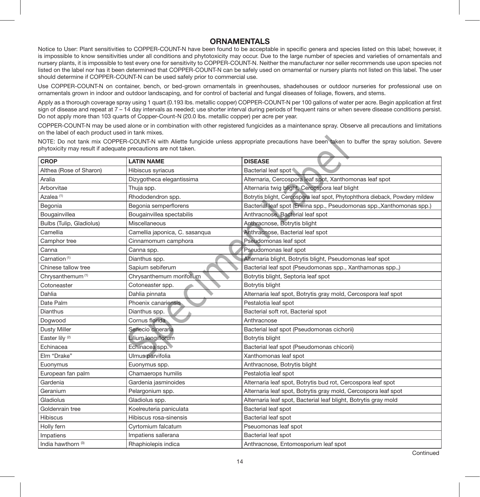## **ORNAMENTALS**

Notice to User: Plant sensitivities to COPPER-COUNT-N have been found to be acceptable in specific genera and species listed on this label; however, it is impossible to know sensitivities under all conditions and phytotoxicity may occur. Due to the large number of species and varieties of ornamentals and nursery plants, it is impossible to test every one for sensitivity to COPPER-COUNT-N. Neither the manufacturer nor seller recommends use upon species not listed on the label nor has it been determined that COPPER-COUNT-N can be safely used on ornamental or nursery plants not listed on this label. The user should determine if COPPER-COUNT-N can be used safely prior to commercial use.

Use COPPER-COUNT-N on container, bench, or bed-grown ornamentals in greenhouses, shadehouses or outdoor nurseries for professional use on ornamentals grown in indoor and outdoor landscaping, and for control of bacterial and fungal diseases of foliage, flowers, and stems.

Apply as a thorough coverage spray using 1 quart (0.193 lbs. metallic copper) COPPER-COUNT-N per 100 gallons of water per acre. Begin application at first sign of disease and repeat at 7 – 14 day intervals as needed; use shorter interval during periods of frequent rains or when severe disease conditions persist. Do not apply more than 103 quarts of Copper-Count-N (20.0 lbs. metallic copper) per acre per year.

COPPER-COUNT-N may be used alone or in combination with other registered fungicides as a maintenance spray. Observe all precautions and limitations on the label of each product used in tank mixes.

| <b>CROP</b>                  | <b>LATIN NAME</b>              | <b>DISEASE</b>                                                              |
|------------------------------|--------------------------------|-----------------------------------------------------------------------------|
| Althea (Rose of Sharon)      | Hibiscus syriacus              | Bacterial leaf spot                                                         |
| Aralia                       | Dizygotheca elegantissima      | Alternaria, Cercospora leaf spot, Xanthomonas leaf spot                     |
| Arborvitae                   | Thuja spp.                     | Alternaria twig blight, Cercospora leaf blight                              |
| Azalea <sup>(1)</sup>        | Rhododendron spp.              | Botrytis blight, Cercospora leaf spot, Phytophthora dieback, Powdery mildew |
| Begonia                      | Begonia semperflorens          | Bacterial leaf spot (Erwina spp., Pseudomonas spp., Xanthomonas spp.)       |
| Bougainvillea                | Bougainvillea spectabilis      | Anthracnose, Bacterial leaf spot                                            |
| Bulbs (Tulip, Gladiolus)     | Miscellaneous                  | Anthracnose, Botrytis blight                                                |
| Camellia                     | Camellia japonica, C. sasangua | Anthracnose, Bacterial leaf spot                                            |
| Camphor tree                 | Cinnamomum camphora            | Pseudomonas leaf spot                                                       |
| Canna                        | Canna spp.                     | Pseudomonas leaf spot                                                       |
| Carnation <sup>(1)</sup>     | Dianthus spp.                  | Alternaria blight, Botrytis blight, Pseudomonas leaf spot                   |
| Chinese tallow tree          | Sapium sebiferum               | Bacterial leaf spot (Pseudomonas spp., Xanthamonas spp.,)                   |
| Chrysanthemum <sup>(1)</sup> | Chrysanthemum morifolium       | Botrytis blight, Septoria leaf spot                                         |
| Cotoneaster                  | Cotoneaster spp.               | Botrytis blight                                                             |
| Dahlia                       | Dahlia pinnata                 | Alternaria leaf spot, Botrytis gray mold, Cercospora leaf spot              |
| Date Palm                    | Phoenix canariensis            | Pestalotia leaf spot                                                        |
| Dianthus                     | Dianthus spp.                  | Bacterial soft rot, Bacterial spot                                          |
| Dogwood                      | Cornus florida                 | Anthracnose                                                                 |
| <b>Dusty Miller</b>          | Senecio cineraria              | Bacterial leaf spot (Pseudomonas cichorii)                                  |
| Easter lily (2)              | Lilium longiflorum             | Botrytis blight                                                             |
| Echinacea                    | Echinacea spp.                 | Bacterial leaf spot (Pseudomonas chicorii)                                  |
| Elm "Drake"                  | Ulmus parvifolia               | Xanthomonas leaf spot                                                       |
| Euonymus                     | Euonymus spp.                  | Anthracnose, Botrytis blight                                                |
| European fan palm            | Chamaerops humilis             | Pestalotia leaf spot                                                        |
| Gardenia                     | Gardenia jasminoides           | Alternaria leaf spot, Botrytis bud rot, Cercospora leaf spot                |
| Geranium                     | Pelargonium spp.               | Alternaria leaf spot, Botrytis gray mold, Cercospora leaf spot              |
| Gladiolus                    | Gladiolus spp.                 | Alternaria leaf spot, Bacterial leaf blight, Botrytis gray mold             |
| Goldenrain tree              | Koelreuteria paniculata        | Bacterial leaf spot                                                         |
| <b>Hibiscus</b>              | Hibiscus rosa-sinensis         | Bacterial leaf spot                                                         |
| Holly fern                   | Cyrtomium falcatum             | Pseuomonas leaf spot                                                        |
| Impatiens                    | Impatiens sallerana            | Bacterial leaf spot                                                         |
| India hawthorn (3)           | Rhaphiolepis indica            | Anthracnose, Entomosporium leaf spot                                        |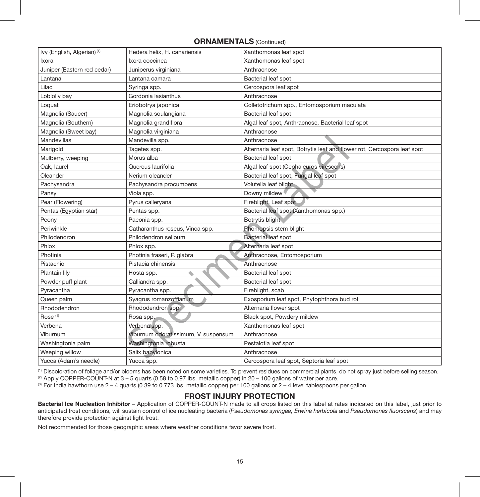## **ORNAMENTALS** (Continued)

| Ivy (English, Algerian) <sup>(1)</sup> | Hedera helix, H. canariensis         | Xanthomonas leaf spot                                                    |
|----------------------------------------|--------------------------------------|--------------------------------------------------------------------------|
| <b>Ixora</b>                           | Ixora coccinea                       | Xanthomonas leaf spot                                                    |
| Juniper (Eastern red cedar)            | Juniperus virginiana                 | Anthracnose                                                              |
| Lantana                                | Lantana camara                       | Bacterial leaf spot                                                      |
| Lilac                                  | Syringa spp.                         | Cercospora leaf spot                                                     |
| Loblolly bay                           | Gordonia lasianthus                  | Anthracnose                                                              |
| Loquat                                 | Eriobotrya japonica                  | Colletotrichum spp., Entomosporium maculata                              |
| Magnolia (Saucer)                      | Magnolia soulangiana                 | Bacterial leaf spot                                                      |
| Magnolia (Southern)                    | Magnolia grandiflora                 | Algal leaf spot, Anthracnose, Bacterial leaf spot                        |
| Magnolia (Sweet bay)                   | Magnolia virginiana                  | Anthracnose                                                              |
| Mandevillas                            | Mandevilla spp.                      | Anthracnose                                                              |
| Marigold                               | Tagetes spp.                         | Alternaria leaf spot, Botrytis leaf and flower rot, Cercospora leaf spot |
| Mulberry, weeping                      | Morus alba                           | Bacterial leaf spot                                                      |
| Oak, laurel                            | Quercus laurifolia                   | Algal leaf spot (Cephaleuros virescens)                                  |
| Oleander                               | Nerium oleander                      | Bacterial leaf spot, Fungal leaf spot                                    |
| Pachysandra                            | Pachysandra procumbens               | Volutella leaf blight                                                    |
| Pansy                                  | Viola spp.                           | Downy mildew                                                             |
| Pear (Flowering)                       | Pyrus calleryana                     | Fireblight, Leaf spot                                                    |
| Pentas (Egyptian star)                 | Pentas spp.                          | Bacterial leaf spot (Xanthomonas spp.)                                   |
| Peony                                  | Paeonia spp.                         | Botrytis blight                                                          |
| Periwinkle                             | Catharanthus roseus, Vinca spp.      | Phomopsis stem blight                                                    |
| Philodendron                           | Philodendron selloum                 | <b>Bacterial leaf spot</b>                                               |
| Phlox                                  | Phlox spp.                           | Alternaria leaf spot                                                     |
| Photinia                               | Photinia fraseri, P. glabra          | Anthracnose, Entomosporium                                               |
| Pistachio                              | Pistacia chinensis                   | Anthracnose                                                              |
| Plantain lily                          | Hosta spp.                           | Bacterial leaf spot                                                      |
| Powder puff plant                      | Calliandra spp.                      | Bacterial leaf spot                                                      |
| Pyracantha                             | Pyracantha spp.                      | Fireblight, scab                                                         |
| Queen palm                             | Syagrus romanzoffianum               | Exosporium leaf spot, Phytophthora bud rot                               |
| Rhododendron                           | Rhododendron spp.                    | Alternaria flower spot                                                   |
| Rose <sup>(1)</sup>                    | Rosa spp.                            | Black spot, Powdery mildew                                               |
| Verbena                                | Verbena spp.                         | Xanthomonas leaf spot                                                    |
| Viburnum                               | Viburnum odoratissimum, V. suspensum | Anthracnose                                                              |
| Washingtonia palm                      | Washingtonia robusta                 | Pestalotia leaf spot                                                     |
| Weeping willow                         | Salix babylonica                     | Anthracnose                                                              |
| Yucca (Adam's needle)                  | Yucca spp.                           | Cercospora leaf spot, Septoria leaf spot                                 |

(1) Discoloration of foliage and/or blooms has been noted on some varieties. To prevent residues on commercial plants, do not spray just before selling season.

(2) Apply COPPER-COUNT-N at 3 – 5 quarts (0.58 to 0.97 lbs. metallic copper) in 20 – 100 gallons of water per acre.

 $\%$  For India hawthorn use 2 – 4 quarts (0.39 to 0.773 lbs. metallic copper) per 100 gallons or 2 – 4 level tablespoons per gallon.

### **FROST INJURY PROTECTION**

**Bacterial Ice Nucleation Inhibitor** – Application of COPPER-COUNT-N made to all crops listed on this label at rates indicated on this label, just prior to anticipated frost conditions, will sustain control of ice nucleating bacteria (*Pseudomonas syringae, Erwina herbicola* and *Pseudomonas fluorscens*) and may therefore provide protection against light frost.

Not recommended for those geographic areas where weather conditions favor severe frost.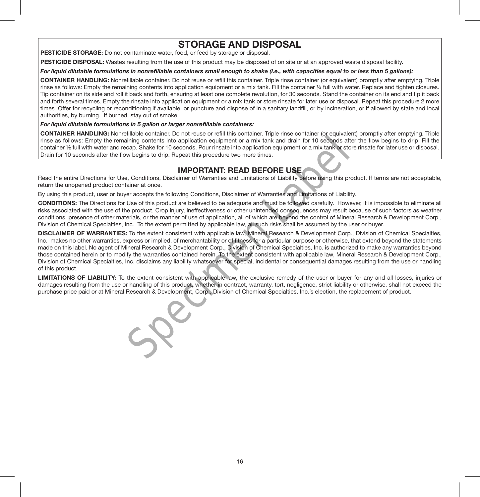## **STORAGE AND DISPOSAL**

**PESTICIDE STORAGE:** Do not contaminate water, food, or feed by storage or disposal.

**PESTICIDE DISPOSAL:** Wastes resulting from the use of this product may be disposed of on site or at an approved waste disposal facility.

*For liquid dilutable formulations in nonrefillable containers small enough to shake (i.e., with capacities equal to or less than 5 gallons):*

**CONTAINER HANDLING:** Nonrefillable container. Do not reuse or refill this container. Triple rinse container (or equivalent) promptly after emptying. Triple rinse as follows: Empty the remaining contents into application equipment or a mix tank. Fill the container ¼ full with water. Replace and tighten closures. Tip container on its side and roll it back and forth, ensuring at least one complete revolution, for 30 seconds. Stand the container on its end and tip it back and forth several times. Empty the rinsate into application equipment or a mix tank or store rinsate for later use or disposal. Repeat this procedure 2 more times. Offer for recycling or reconditioning if available, or puncture and dispose of in a sanitary landfill, or by incineration, or if allowed by state and local authorities, by burning. If burned, stay out of smoke.

#### *For liquid dilutable formulations in 5 gallon or larger nonrefillable containers:*

**CONTAINER HANDLING:** Nonrefillable container. Do not reuse or refill this container. Triple rinse container (or equivalent) promptly after emptying. Triple rinse as follows: Empty the remaining contents into application equipment or a mix tank and drain for 10 seconds after the flow begins to drip. Fill the container 1/2 full with water and recap. Shake for 10 seconds. Pour rinsate into application equipment or a mix tank or store rinsate for later use or disposal. Drain for 10 seconds after the flow begins to drip. Repeat this procedure two more times.

## **IMPORTANT: READ BEFORE USE**

Read the entire Directions for Use, Conditions, Disclaimer of Warranties and Limitations of Liability before using this product. If terms are not acceptable, return the unopened product container at once.

By using this product, user or buyer accepts the following Conditions, Disclaimer of Warranties and Limitations of Liability.

**CONDITIONS:** The Directions for Use of this product are believed to be adequate and must be followed carefully. However, it is impossible to eliminate all risks associated with the use of the product. Crop injury, ineffectiveness or other unintended consequences may result because of such factors as weather conditions, presence of other materials, or the manner of use of application, all of which are beyond the control of Mineral Research & Development Corp., Division of Chemical Specialties, Inc. To the extent permitted by applicable law, all such risks shall be assumed by the user or buyer.

**DISCLAIMER OF WARRANTIES:** To the extent consistent with applicable law, Mineral Research & Development Corp., Division of Chemical Specialties, Inc. makes no other warranties, express or implied, of merchantability or of fitness for a particular purpose or otherwise, that extend beyond the statements made on this label. No agent of Mineral Research & Development Corp., Division of Chemical Specialties, Inc. is authorized to make any warranties beyond those contained herein or to modify the warranties contained herein. To the extent consistent with applicable law, Mineral Research & Development Corp., Division of Chemical Specialties, Inc. disclaims any liability whatsoever for special, incidental or consequential damages resulting from the use or handling of this product. ining contents into application equipment or a mix tank and drain for 10 seconds at a<br>sining contents into application equipment or a mix tank and drain for 10 seconds aft<br>cap. Shake for 10 seconds. Pour instals into appli

**LIMITATIONS OF LIABILITY:** To the extent consistent with applicable law, the exclusive remedy of the user or buyer for any and all losses, injuries or damages resulting from the use or handling of this product, whether in contract, warranty, tort, negligence, strict liability or otherwise, shall not exceed the purchase price paid or at Mineral Research & Development, Corp., Division of Chemical Specialties, Inc.'s election, the replacement of product.